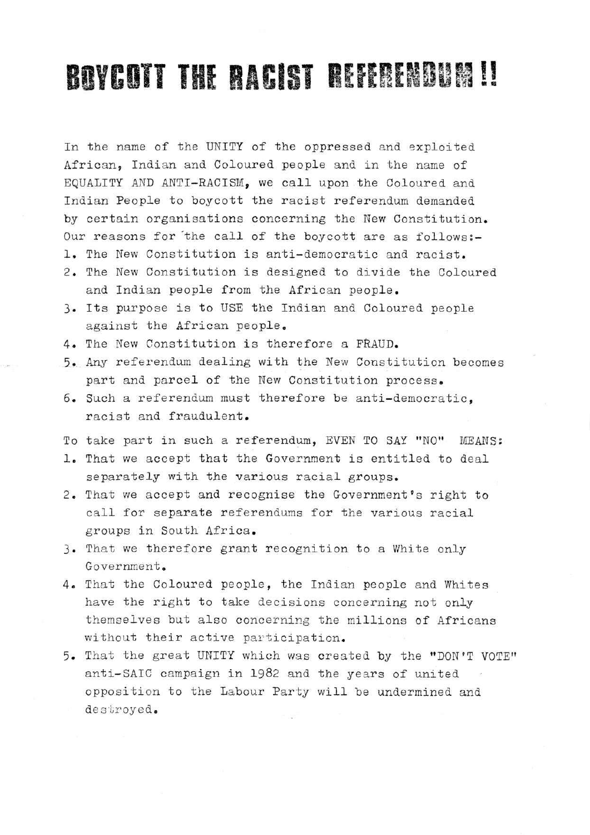## BOYCOTT THE BACIST REFERENCE

In the name of the UNITY of the oppressed and exploited African, Indian and Coloured people and in the name of EQUALITY AND ANTI-RACISM, we call upon the Coloured and Indian People to boycott the racist referendum demanded by certain organisations concerning the New Constitution. Our reasons for the call of the boycott are as follows:-1. The New Constitution is anti-democratic and racist. 2. The New Constitution is designed to divide the Coloured

- and Indian people from the African people,
- 3. Its purpose is to USE the Indian and Coloured people against the African people.
- 4. The New Constitution is therefore a FRAUD.
- 5. Any referendum dealing with the New Constitution becomes part and parcel of the New Constitution process.
- 6. Such a referendum must therefore be anti-democratic. racist and fraudulent.
- To take part in such a referendum, EVEN TO SAY "NO" MEANS *%*
- 1. That we accept that the Government is entitled to deal separately with the various racial groups.
- 2. That we accept and recognise the Government's right to call for separate referendums for the various racial groups in South Africa.
- 3. That we therefore grant recognition to a White only Government.
- 4. That the Coloured people, the Indian people and Whites have the right to take decisions concerning not only themselves but also concerning the millions of Africans without their active participation.
- 5. That the great UNITY which was created by the "DON'T VOTE" anti-SAIC campaign in 1982 and the years of united opposition to the Labour Party will be undermined and destroyed.